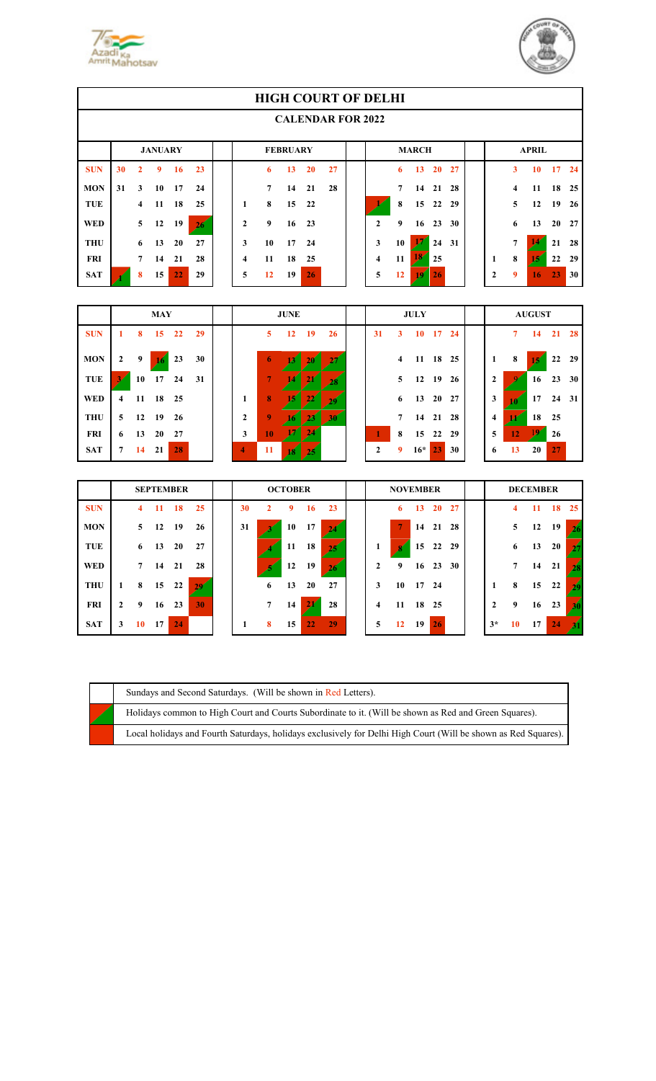



|            | <b>HIGH COURT OF DELHI</b> |                |                |    |    |  |   |    |                 |           |    |  |              |    |              |                 |    |              |   |                 |    |      |
|------------|----------------------------|----------------|----------------|----|----|--|---|----|-----------------|-----------|----|--|--------------|----|--------------|-----------------|----|--------------|---|-----------------|----|------|
|            | <b>CALENDAR FOR 2022</b>   |                |                |    |    |  |   |    |                 |           |    |  |              |    |              |                 |    |              |   |                 |    |      |
|            |                            |                | <b>JANUARY</b> |    |    |  |   |    | <b>FEBRUARY</b> |           |    |  |              |    | <b>MARCH</b> |                 |    |              |   | <b>APRIL</b>    |    |      |
| <b>SUN</b> | 30                         | 2              | 9              | 16 | 23 |  |   | 6  | 13              | <b>20</b> | 27 |  |              | 6  | 13           | 20 <sup>°</sup> | 27 |              | 3 | 10              | 17 | 24   |
| <b>MON</b> | 31                         | 3              | 10             | 17 | 24 |  |   | 7  | 14              | 21        | 28 |  |              | 7  | 14           | 21              | 28 |              | 4 | 11              | 18 | - 25 |
| <b>TUE</b> |                            | $\overline{4}$ | 11             | 18 | 25 |  | 1 | 8  | 15              | 22        |    |  |              | 8  | 15           | 22              | 29 |              | 5 | 12              | 19 | 26   |
| <b>WED</b> |                            | 5              | 12             | 19 | 26 |  | 2 | 9  | 16              | 23        |    |  | $\mathbf{2}$ | 9  | 16           | 23              | 30 |              | 6 | 13              | 20 | - 27 |
| <b>THU</b> |                            | 6              | 13             | 20 | 27 |  | 3 | 10 | 17              | 24        |    |  | 3            | 10 |              | 24              | 31 |              | 7 |                 | 21 | 28   |
| <b>FRI</b> |                            | 7              | 14             | 21 | 28 |  | 4 | 11 | 18              | 25        |    |  | 4            | 11 | 134          | 25              |    |              | 8 | 15 <sup>′</sup> | 22 | 29   |
| <b>SAT</b> |                            | 8              | 15             | 22 | 29 |  | 5 | 12 | 19              | 26        |    |  | 5            | 12 | 10.          | <b>26</b>       |    | $\mathbf{2}$ | 9 | 16              | 23 | 30   |

|            | <b>MAY</b>     |    |                 |       |    | <b>JUNE</b>    |                |     |               |    | <b>JULY</b>  |                |          |          |      | <b>AUGUST</b> |    |    |          |    |
|------------|----------------|----|-----------------|-------|----|----------------|----------------|-----|---------------|----|--------------|----------------|----------|----------|------|---------------|----|----|----------|----|
| <b>SUN</b> | 1              | 8  | 15 <sup>2</sup> | 22    | 29 |                | 5              | 12  | <b>19</b>     | 26 | 31           | 3              | 10       | 17       | - 24 |               | 7  | 14 | 21       | 28 |
| <b>MON</b> | $\overline{2}$ | 9  | 76              | 23    | 30 |                | 6              |     | <b>AD</b>     |    |              | $\overline{4}$ | 11 18 25 |          |      | 1             | 8  | 13 | 22       | 29 |
| TUE        |                | 10 | 17              | 24    | 31 |                | $\overline{7}$ |     |               |    |              | 5 <sup>5</sup> |          | 12 19 26 |      | 2             |    | 16 | 23       | 30 |
| <b>WED</b> | $\overline{4}$ |    | 11 18 25        |       |    | 1              | 8              |     | $2\mathbb{Z}$ | 20 |              | 6              | 13 20 27 |          |      | 3             |    |    | 17 24 31 |    |
| <b>THU</b> | 5 <sup>1</sup> |    | 12 19           | 26    |    | 2              | 9              |     |               | 30 |              | 7              |          | 14 21 28 |      | 4             |    | 18 | 25       |    |
| <b>FRI</b> | 6              | 13 |                 | 20 27 |    | 3              | 10             |     | 24            |    |              | 8              |          | 15 22    | 29   | 5             | 12 |    | 26       |    |
| <b>SAT</b> | $7^{\circ}$    | 14 | 21              | 28    |    | $\overline{4}$ | <b>11</b>      | 18. | $25^{\circ}$  |    | $\mathbf{2}$ | 9              | $16*$    | 23       | 30   | 6             | 13 | 20 | 27       |    |

|            | <b>SEPTEMBER</b> |                |    |       |    | <b>OCTOBER</b> |                 |    |    |     | <b>NOVEMBER</b> |    |               |                 | <b>DECEMBER</b> |      |             |    |    |                |
|------------|------------------|----------------|----|-------|----|----------------|-----------------|----|----|-----|-----------------|----|---------------|-----------------|-----------------|------|-------------|----|----|----------------|
| <b>SUN</b> |                  | 4              | 11 | 18    | 25 | 30             | 2               | 9  | 16 | 23  |                 | 6  | 13            | <b>20</b>       | 27              |      | 4           | 11 | 18 | 25             |
| <b>MON</b> |                  | $5^{\circ}$    | 12 | 19    | 26 | 31             |                 | 10 | 17 |     |                 |    |               | 14 21 28        |                 |      | 5           | 12 | 19 | 26             |
| TUE        |                  | 6              | 13 | 20    | 27 |                |                 | 11 | 18 | 25  | 1               | Я  |               | 15 22           | 29              |      | 6           | 13 | 20 | 27             |
| <b>WED</b> |                  | $\overline{7}$ | 14 | 21    | 28 |                |                 | 12 | 19 | 26. | $\mathbf{2}$    | 9  | 16            | 23              | <b>30</b>       |      | $7^{\circ}$ | 14 | 21 | 28             |
| <b>THU</b> |                  | 8              |    | 15 22 | 29 |                | 6               | 13 | 20 | 27  | 3               |    | $10 \quad 17$ | - 24            |                 |      | 8           | 15 | 22 | 29             |
| <b>FRI</b> | 2                | 9              | 16 | 23    | 30 |                | $7\overline{ }$ | 14 | 44 | 28  | 4               |    | 11 18 25      |                 |                 | 2    | 9           | 16 | 23 | 30             |
| <b>SAT</b> | 3                | 10             | 17 | 24    |    | 1              | 8               | 15 | 22 | 29  | 5               | 12 | 19            | 26 <sup>°</sup> |                 | $3*$ | 10          | 17 | 24 | $\mathbf{z}_1$ |

|  | Sundays and Second Saturdays. (Will be shown in Red Letters).                                                  |
|--|----------------------------------------------------------------------------------------------------------------|
|  | Holidays common to High Court and Courts Subordinate to it. (Will be shown as Red and Green Squares).          |
|  | Local holidays and Fourth Saturdays, holidays exclusively for Delhi High Court (Will be shown as Red Squares). |